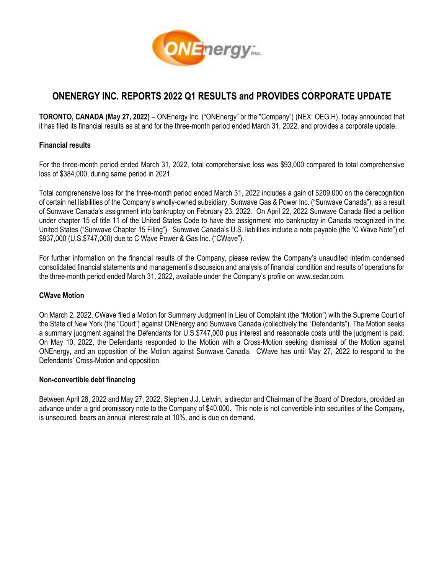

# **ONENERGY INC. REPORTS 2022 Q1 RESULTS and PROVIDES CORPORATE UPDATE**

**TORONTO, CANADA (May 27, 2022)** – ONEnergy Inc. ("ONEnergy" or the "Company") (NEX: OEG.H), today announced that it has filed its financial results as at and for the three-month period ended March 31, 2022, and provides a corporate update.

## **Financial results**

For the three-month period ended March 31, 2022, total comprehensive loss was \$93,000 compared to total comprehensive loss of \$384,000, during same period in 2021.

Total comprehensive loss for the three-month period ended March 31, 2022 includes a gain of \$209,000 on the derecognition of certain net liabilities of the Company's wholly-owned subsidiary, Sunwave Gas & Power Inc. ("Sunwave Canada"), as a result of Sunwave Canada's assignment into bankruptcy on February 23, 2022. On April 22, 2022 Sunwave Canada filed a petition under chapter 15 of title 11 of the United States Code to have the assignment into bankruptcy in Canada recognized in the United States ("Sunwave Chapter 15 Filing"). Sunwave Canada's U.S. liabilities include a note payable (the "C Wave Note") of \$937,000 (U.S.\$747,000) due to C Wave Power & Gas Inc. ("CWave").

For further information on the financial results of the Company, please review the Company's unaudited interim condensed consolidated financial statements and management's discussion and analysis of financial condition and results of operations for the three-month period ended March 31, 2022, available under the Company's profile on [www.sedar.com.](http://www.sedar.com/)

## **CWave Motion**

On March 2, 2022, CWave filed a Motion for Summary Judgment in Lieu of Complaint (the "Motion") with the Supreme Court of the State of New York (the "Court") against ONEnergy and Sunwave Canada (collectively the "Defendants"). The Motion seeks a summary judgment against the Defendants for U.S.\$747,000 plus interest and reasonable costs until the judgment is paid. On May 10, 2022, the Defendants responded to the Motion with a Cross-Motion seeking dismissal of the Motion against ONEnergy, and an opposition of the Motion against Sunwave Canada. CWave has until May 27, 2022 to respond to the Defendants' Cross-Motion and opposition.

### **Non-convertible debt financing**

Between April 28, 2022 and May 27, 2022, Stephen J.J. Letwin, a director and Chairman of the Board of Directors, provided an advance under a grid promissory note to the Company of \$40,000. This note is not convertible into securities of the Company, is unsecured, bears an annual interest rate at 10%, and is due on demand.